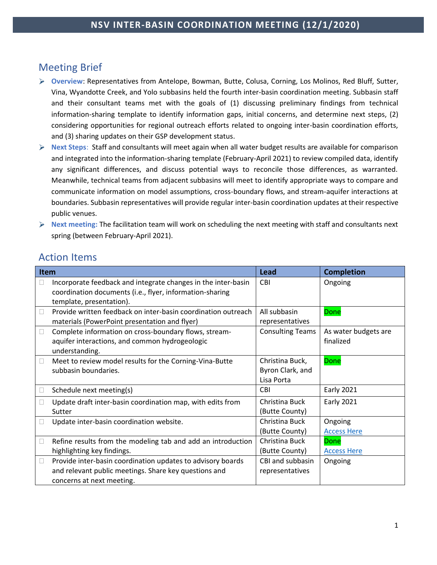# Meeting Brief

- **Overview**: Representatives from Antelope, Bowman, Butte, Colusa, Corning, Los Molinos, Red Bluff, Sutter, Vina, Wyandotte Creek, and Yolo subbasins held the fourth inter-basin coordination meeting. Subbasin staff and their consultant teams met with the goals of (1) discussing preliminary findings from technical information-sharing template to identify information gaps, initial concerns, and determine next steps, (2) considering opportunities for regional outreach efforts related to ongoing inter-basin coordination efforts, and (3) sharing updates on their GSP development status.
- **Next Steps**: Staff and consultants will meet again when all water budget results are available for comparison and integrated into the information-sharing template (February-April 2021) to review compiled data, identify any significant differences, and discuss potential ways to reconcile those differences, as warranted. Meanwhile, technical teams from adjacent subbasins will meet to identify appropriate ways to compare and communicate information on model assumptions, cross-boundary flows, and stream-aquifer interactions at boundaries. Subbasin representatives will provide regular inter-basin coordination updates at their respective public venues.
- **Next meeting:** The facilitation team will work on scheduling the next meeting with staff and consultants next spring (between February-April 2021).

# Action Items

| <b>Item</b> |                                                                                                                                                       | Lead                                              | <b>Completion</b>                 |
|-------------|-------------------------------------------------------------------------------------------------------------------------------------------------------|---------------------------------------------------|-----------------------------------|
|             | Incorporate feedback and integrate changes in the inter-basin<br>coordination documents (i.e., flyer, information-sharing<br>template, presentation). | <b>CBI</b>                                        | Ongoing                           |
|             | Provide written feedback on inter-basin coordination outreach<br>materials (PowerPoint presentation and flyer)                                        | All subbasin<br>representatives                   | <b>Done</b>                       |
| $\Box$      | Complete information on cross-boundary flows, stream-<br>aquifer interactions, and common hydrogeologic<br>understanding.                             | <b>Consulting Teams</b>                           | As water budgets are<br>finalized |
| $\Box$      | Meet to review model results for the Corning-Vina-Butte<br>subbasin boundaries.                                                                       | Christina Buck,<br>Byron Clark, and<br>Lisa Porta | <b>Done</b>                       |
|             | Schedule next meeting(s)                                                                                                                              | <b>CBI</b>                                        | <b>Early 2021</b>                 |
|             | Update draft inter-basin coordination map, with edits from<br>Sutter                                                                                  | Christina Buck<br>(Butte County)                  | <b>Early 2021</b>                 |
|             | Update inter-basin coordination website.                                                                                                              | Christina Buck<br>(Butte County)                  | Ongoing<br><b>Access Here</b>     |
|             | Refine results from the modeling tab and add an introduction                                                                                          | Christina Buck                                    | <b>Done</b>                       |
|             | highlighting key findings.                                                                                                                            | (Butte County)                                    | <b>Access Here</b>                |
| $\Box$      | Provide inter-basin coordination updates to advisory boards<br>and relevant public meetings. Share key questions and<br>concerns at next meeting.     | CBI and subbasin<br>representatives               | Ongoing                           |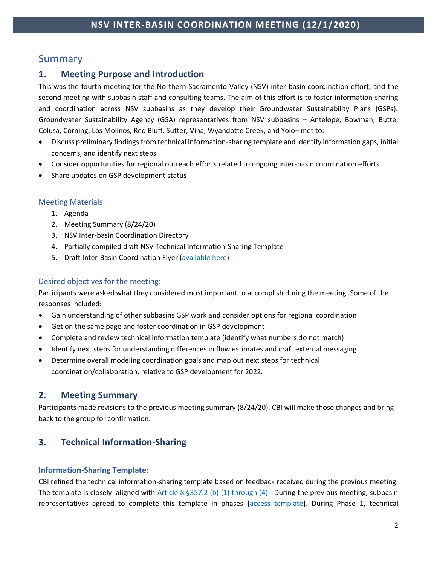# Summary

### **1. Meeting Purpose and Introduction**

This was the fourth meeting for the Northern Sacramento Valley (NSV) inter-basin coordination effort, and the second meeting with subbasin staff and consulting teams. The aim of this effort is to foster information-sharing and coordination across NSV subbasins as they develop their Groundwater Sustainability Plans (GSPs). Groundwater Sustainability Agency (GSA) representatives from NSV subbasins – Antelope, Bowman, Butte, Colusa, Corning, Los Molinos, Red Bluff, Sutter, Vina, Wyandotte Creek, and Yolo– met to:

- Discuss preliminary findings from technical information-sharing template and identify information gaps, initial concerns, and identify next steps
- Consider opportunities for regional outreach efforts related to ongoing inter-basin coordination efforts
- Share updates on GSP development status

#### Meeting Materials:

- 1. Agenda
- 2. Meeting Summary (8/24/20)
- 3. NSV Inter-basin Coordination Directory
- 4. Partially compiled draft NSV Technical Information-Sharing Template
- 5. Draft Inter-Basin Coordination Flyer [\(available here\)](http://www.buttecounty.net/wrcdocs/planning/SGWMA/InterbasinCoordination/06_NSV_InterBasin_Coordination_Flyer_v12-8-2020.pdf)

#### Desired objectives for the meeting:

Participants were asked what they considered most important to accomplish during the meeting. Some of the responses included:

- Gain understanding of other subbasins GSP work and consider options for regional coordination
- Get on the same page and foster coordination in GSP development
- Complete and review technical information template (identify what numbers do not match)
- Identify next steps for understanding differences in flow estimates and craft external messaging
- Determine overall modeling coordination goals and map out next steps for technical coordination/collaboration, relative to GSP development for 2022.

### **2. Meeting Summary**

Participants made revisions to the previous meeting summary (8/24/20). CBI will make those changes and bring back to the group for confirmation.

### **3. Technical Information-Sharing**

### **Information-Sharing Template:**

CBI refined the technical information-sharing template based on feedback received during the previous meeting. The template is closely aligned with [Article 8 §357.2 \(b\) \(1\) through \(4\).](https://groundwaterexchange.org/wp-content/uploads/2018/07/GSP-Regs-Art-8-Interagency-Agreements.pdf) During the previous meeting, subbasin representatives agreed to complete this template in phases [\[access template\]](http://www.buttecounty.net/wrcdocs/planning/SGWMA/InterbasinCoordination/2020-09-14_NSV_Technical_Information-Sharing_Template.xlsx). During Phase 1, technical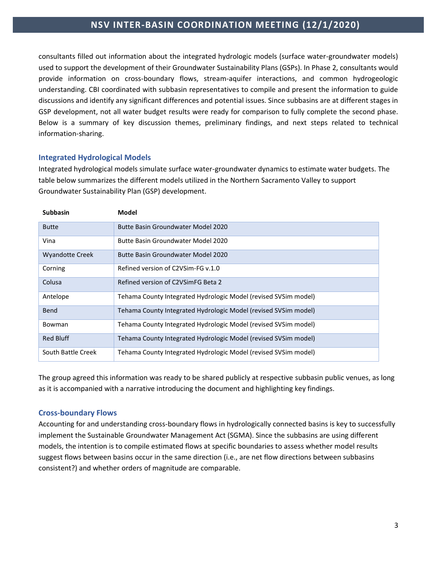consultants filled out information about the integrated hydrologic models (surface water-groundwater models) used to support the development of their Groundwater Sustainability Plans (GSPs). In Phase 2, consultants would provide information on cross-boundary flows, stream-aquifer interactions, and common hydrogeologic understanding. CBI coordinated with subbasin representatives to compile and present the information to guide discussions and identify any significant differences and potential issues. Since subbasins are at different stages in GSP development, not all water budget results were ready for comparison to fully complete the second phase. Below is a summary of key discussion themes, preliminary findings, and next steps related to technical information-sharing.

#### **Integrated Hydrological Models**

Integrated hydrological models simulate surface water-groundwater dynamics to estimate water budgets. The table below summarizes the different models utilized in the Northern Sacramento Valley to support Groundwater Sustainability Plan (GSP) development.

| <b>Subbasin</b>        | Model                                                           |
|------------------------|-----------------------------------------------------------------|
| <b>Butte</b>           | Butte Basin Groundwater Model 2020                              |
| Vina                   | Butte Basin Groundwater Model 2020                              |
| <b>Wyandotte Creek</b> | Butte Basin Groundwater Model 2020                              |
| Corning                | Refined version of C2VSim-FG v.1.0                              |
| Colusa                 | Refined version of C2VSimFG Beta 2                              |
| Antelope               | Tehama County Integrated Hydrologic Model (revised SVSim model) |
| <b>Bend</b>            | Tehama County Integrated Hydrologic Model (revised SVSim model) |
| Bowman                 | Tehama County Integrated Hydrologic Model (revised SVSim model) |
| <b>Red Bluff</b>       | Tehama County Integrated Hydrologic Model (revised SVSim model) |
| South Battle Creek     | Tehama County Integrated Hydrologic Model (revised SVSim model) |

The group agreed this information was ready to be shared publicly at respective subbasin public venues, as long as it is accompanied with a narrative introducing the document and highlighting key findings.

#### **Cross-boundary Flows**

Accounting for and understanding cross-boundary flows in hydrologically connected basins is key to successfully implement the Sustainable Groundwater Management Act (SGMA). Since the subbasins are using different models, the intention is to compile estimated flows at specific boundaries to assess whether model results suggest flows between basins occur in the same direction (i.e., are net flow directions between subbasins consistent?) and whether orders of magnitude are comparable.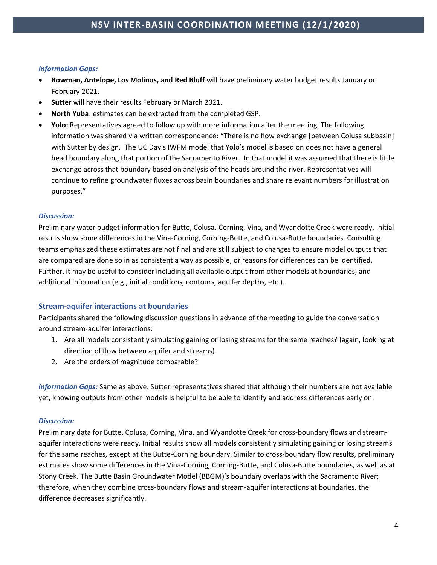#### *Information Gaps:*

- **Bowman, Antelope, Los Molinos, and Red Bluff** will have preliminary water budget results January or February 2021.
- **Sutter** will have their results February or March 2021.
- **North Yuba**: estimates can be extracted from the completed GSP.
- **Yolo:** Representatives agreed to follow up with more information after the meeting. The following information was shared via written correspondence: "There is no flow exchange [between Colusa subbasin] with Sutter by design. The UC Davis IWFM model that Yolo's model is based on does not have a general head boundary along that portion of the Sacramento River. In that model it was assumed that there is little exchange across that boundary based on analysis of the heads around the river. Representatives will continue to refine groundwater fluxes across basin boundaries and share relevant numbers for illustration purposes."

#### *Discussion:*

Preliminary water budget information for Butte, Colusa, Corning, Vina, and Wyandotte Creek were ready. Initial results show some differences in the Vina-Corning, Corning-Butte, and Colusa-Butte boundaries. Consulting teams emphasized these estimates are not final and are still subject to changes to ensure model outputs that are compared are done so in as consistent a way as possible, or reasons for differences can be identified. Further, it may be useful to consider including all available output from other models at boundaries, and additional information (e.g., initial conditions, contours, aquifer depths, etc.).

#### **Stream-aquifer interactions at boundaries**

Participants shared the following discussion questions in advance of the meeting to guide the conversation around stream-aquifer interactions:

- 1. Are all models consistently simulating gaining or losing streams for the same reaches? (again, looking at direction of flow between aquifer and streams)
- 2. Are the orders of magnitude comparable?

*Information Gaps:* Same as above. Sutter representatives shared that although their numbers are not available yet, knowing outputs from other models is helpful to be able to identify and address differences early on.

#### *Discussion:*

Preliminary data for Butte, Colusa, Corning, Vina, and Wyandotte Creek for cross-boundary flows and streamaquifer interactions were ready. Initial results show all models consistently simulating gaining or losing streams for the same reaches, except at the Butte-Corning boundary. Similar to cross-boundary flow results, preliminary estimates show some differences in the Vina-Corning, Corning-Butte, and Colusa-Butte boundaries, as well as at Stony Creek. The Butte Basin Groundwater Model (BBGM)'s boundary overlaps with the Sacramento River; therefore, when they combine cross-boundary flows and stream-aquifer interactions at boundaries, the difference decreases significantly.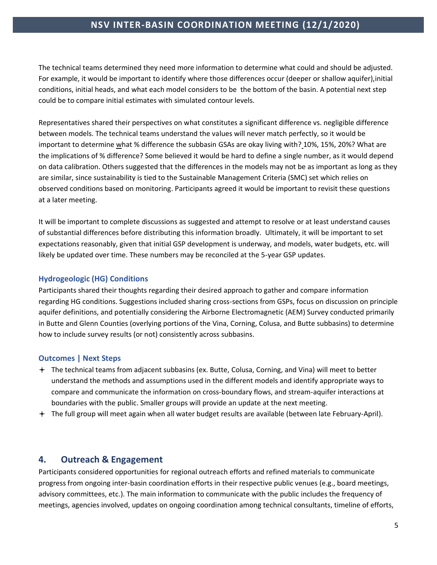The technical teams determined they need more information to determine what could and should be adjusted. For example, it would be important to identify where those differences occur (deeper or shallow aquifer),initial conditions, initial heads, and what each model considers to be the bottom of the basin. A potential next step could be to compare initial estimates with simulated contour levels.

Representatives shared their perspectives on what constitutes a significant difference vs. negligible difference between models. The technical teams understand the values will never match perfectly, so it would be important to determine what % difference the subbasin GSAs are okay living with? 10%, 15%, 20%? What are the implications of % difference? Some believed it would be hard to define a single number, as it would depend on data calibration. Others suggested that the differences in the models may not be as important as long as they are similar, since sustainability is tied to the Sustainable Management Criteria (SMC) set which relies on observed conditions based on monitoring. Participants agreed it would be important to revisit these questions at a later meeting.

It will be important to complete discussions as suggested and attempt to resolve or at least understand causes of substantial differences before distributing this information broadly. Ultimately, it will be important to set expectations reasonably, given that initial GSP development is underway, and models, water budgets, etc. will likely be updated over time. These numbers may be reconciled at the 5-year GSP updates.

#### **Hydrogeologic (HG) Conditions**

Participants shared their thoughts regarding their desired approach to gather and compare information regarding HG conditions. Suggestions included sharing cross-sections from GSPs, focus on discussion on principle aquifer definitions, and potentially considering the Airborne Electromagnetic (AEM) Survey conducted primarily in Butte and Glenn Counties (overlying portions of the Vina, Corning, Colusa, and Butte subbasins) to determine how to include survey results (or not) consistently across subbasins.

#### **Outcomes | Next Steps**

- The technical teams from adjacent subbasins (ex. Butte, Colusa, Corning, and Vina) will meet to better understand the methods and assumptions used in the different models and identify appropriate ways to compare and communicate the information on cross-boundary flows, and stream-aquifer interactions at boundaries with the public. Smaller groups will provide an update at the next meeting.
- The full group will meet again when all water budget results are available (between late February-April).

### **4. Outreach & Engagement**

Participants considered opportunities for regional outreach efforts and refined materials to communicate progress from ongoing inter-basin coordination efforts in their respective public venues (e.g., board meetings, advisory committees, etc.). The main information to communicate with the public includes the frequency of meetings, agencies involved, updates on ongoing coordination among technical consultants, timeline of efforts,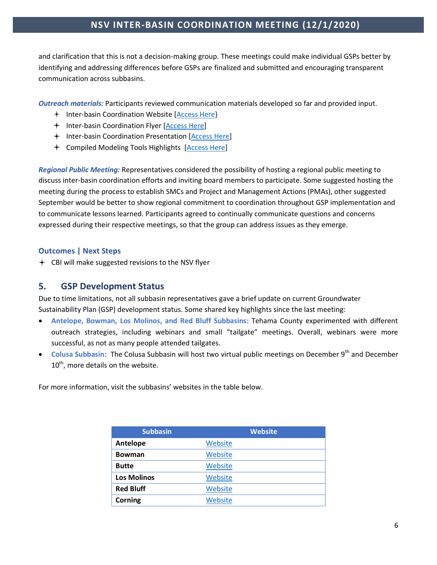and clarification that this is not a decision-making group. These meetings could make individual GSPs better by identifying and addressing differences before GSPs are finalized and submitted and encouraging transparent communication across subbasins.

*Outreach materials:* Participants reviewed communication materials developed so far and provided input.

- <sup>+</sup> Inter-basin Coordination Website [Access Here]
- + Inter-basin Coordination Flyer [\[Access Here\]](http://www.buttecounty.net/wrcdocs/planning/SGWMA/InterbasinCoordination/06_NSV_InterBasin_Coordination_Flyer_v12-8-2020.pdf)
- + Inter-basin Coordination Presentation [\[Access Here\]](http://www.buttecounty.net/wrcdocs/planning/SGWMA/InterbasinCoordination/Slides_07_Inter-basin%20Coordination%20101_v6.pdf)
- Compiled Modeling Tools Highlights [\[Access Here\]](http://www.buttecounty.net/wrcdocs/planning/SGWMA/InterbasinCoordination/08_NSV_Background%26Compiled_Modeling_Tools_2020-12-2_v2.pdf)

*Regional Public Meeting:* Representatives considered the possibility of hosting a regional public meeting to discuss inter-basin coordination efforts and inviting board members to participate. Some suggested hosting the meeting during the process to establish SMCs and Project and Management Actions (PMAs), other suggested September would be better to show regional commitment to coordination throughout GSP implementation and to communicate lessons learned. Participants agreed to continually communicate questions and concerns expressed during their respective meetings, so that the group can address issues as they emerge.

#### **Outcomes | Next Steps**

CBI will make suggested revisions to the NSV flyer

#### **5. GSP Development Status**

Due to time limitations, not all subbasin representatives gave a brief update on current Groundwater Sustainability Plan (GSP) development status. Some shared key highlights since the last meeting:

- **Antelope, Bowman, Los Molinos, and Red Bluff Subbasins:** Tehama County experimented with different outreach strategies, including webinars and small "tailgate" meetings. Overall, webinars were more successful, as not as many people attended tailgates.
- Colusa Subbasin: The Colusa Subbasin will host two virtual public meetings on December 9<sup>th</sup> and December 10<sup>th</sup>, more details on the website.

For more information, visit the subbasins' websites in the table below.

| <b>Subbasin</b>    | <b>Website</b> |
|--------------------|----------------|
| Antelope           | Website        |
| <b>Bowman</b>      | Website        |
| <b>Butte</b>       | Website        |
| <b>Los Molinos</b> | Website        |
| <b>Red Bluff</b>   | Website        |
| Corning            | Website        |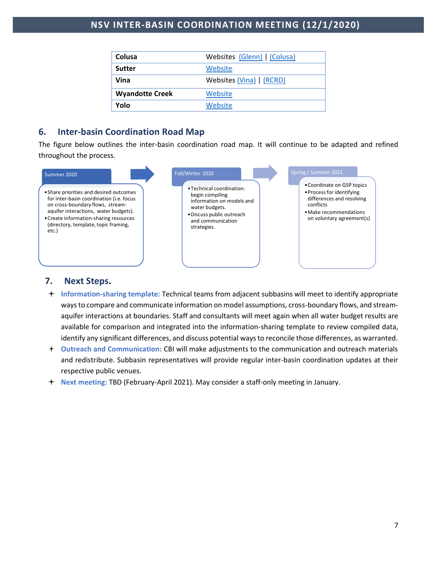| Colusa                 | Websites (Glenn)   (Colusa) |
|------------------------|-----------------------------|
| <b>Sutter</b>          | Website                     |
| Vina                   | Websites (Vina)   (RCRD)    |
| <b>Wyandotte Creek</b> | Website                     |
| Yolo                   | Website                     |

### **6. Inter-basin Coordination Road Map**

The figure below outlines the inter-basin coordination road map. It will continue to be adapted and refined throughout the process.



#### **7. Next Steps.**

- **Information-sharing template:** Technical teams from adjacent subbasins will meet to identify appropriate ways to compare and communicate information on model assumptions, cross-boundary flows, and streamaquifer interactions at boundaries. Staff and consultants will meet again when all water budget results are available for comparison and integrated into the information-sharing template to review compiled data, identify any significant differences, and discuss potential ways to reconcile those differences, as warranted.
- **Outreach and Communication:** CBI will make adjustments to the communication and outreach materials and redistribute. Subbasin representatives will provide regular inter-basin coordination updates at their respective public venues.
- **Next meeting:** TBD (February-April 2021). May consider a staff-only meeting in January.